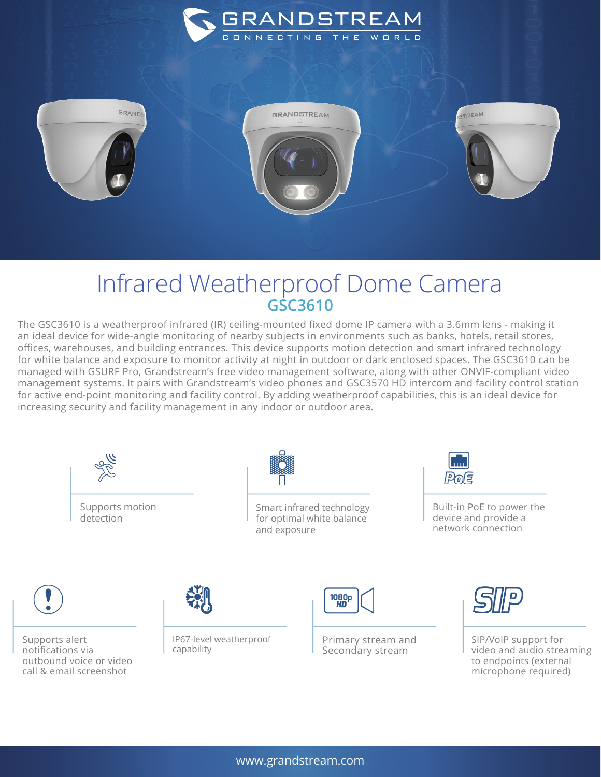



## Infrared Weatherproof Dome Camera **GSC3610**

The GSC3610 is a weatherproof infrared (IR) ceiling-mounted fixed dome IP camera with a 3.6mm lens - making it an ideal device for wide-angle monitoring of nearby subjects in environments such as banks, hotels, retail stores, offices, warehouses, and building entrances. This device supports motion detection and smart infrared technology for white balance and exposure to monitor activity at night in outdoor or dark enclosed spaces. The GSC3610 can be managed with GSURF Pro, Grandstream's free video management software, along with other ONVIF-compliant video management systems. It pairs with Grandstream's video phones and GSC3570 HD intercom and facility control station for active end-point monitoring and facility control. By adding weatherproof capabilities, this is an ideal device for increasing security and facility management in any indoor or outdoor area.